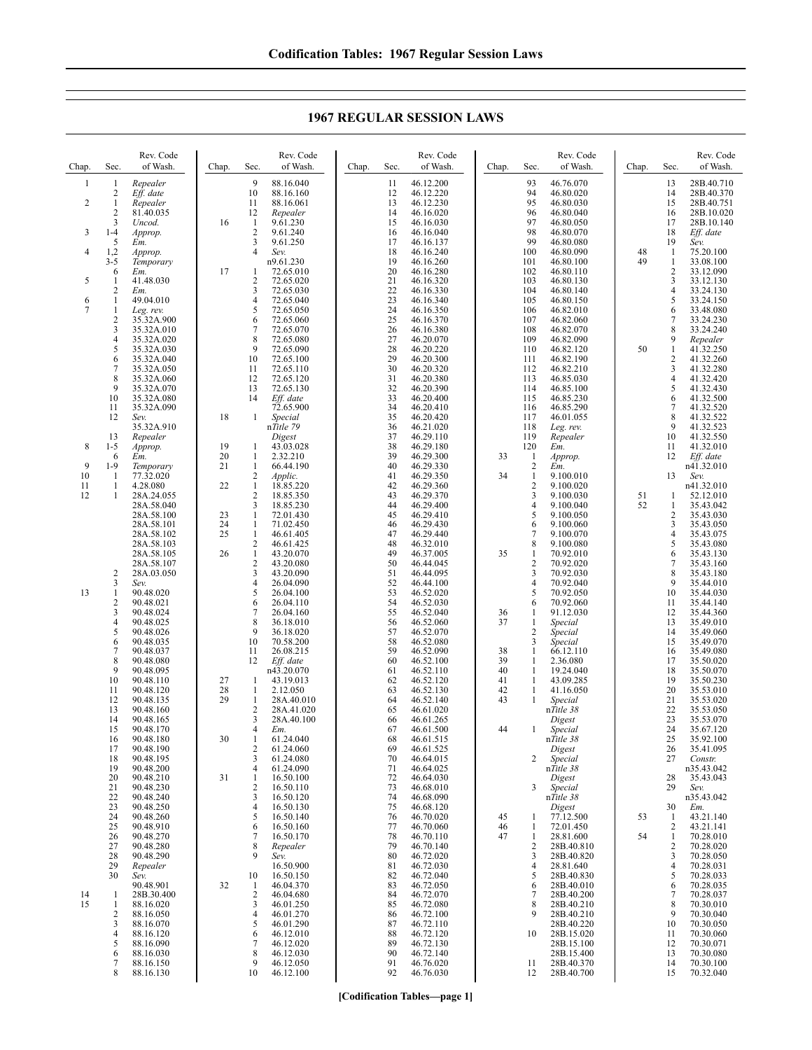**1967 REGULAR SESSION LAWS**

| Chap.         | Sec.                               | Rev. Code<br>of Wash.                                    | Chap.          | Rev. Code<br>of Wash.<br>Sec.                                                                      | Rev. Code<br>of Wash.<br>Chap.<br>Sec.                                                      | Rev. Code<br>of Wash.<br>Chap.<br>Sec.                                                      | Chap.    | Sec.                                    | Rev. Code<br>of Wash.                                              |
|---------------|------------------------------------|----------------------------------------------------------|----------------|----------------------------------------------------------------------------------------------------|---------------------------------------------------------------------------------------------|---------------------------------------------------------------------------------------------|----------|-----------------------------------------|--------------------------------------------------------------------|
| 1<br>2        | 1<br>2<br>1<br>$\overline{c}$<br>3 | Repealer<br>Eff. date<br>Repealer<br>81.40.035<br>Uncod. | 16             | 9<br>88.16.040<br>10<br>88.16.160<br>11<br>88.16.061<br>12<br>Repealer<br>$\mathbf{1}$<br>9.61.230 | 46.12.200<br>11<br>46.12.220<br>12<br>13<br>46.12.230<br>14<br>46.16.020<br>15<br>46.16.030 | 93<br>46.76.070<br>94<br>46.80.020<br>95<br>46.80.030<br>96<br>46.80.040<br>97<br>46.80.050 |          | 13<br>14<br>15<br>16<br>17              | 28B.40.710<br>28B.40.370<br>28B.40.751<br>28B.10.020<br>28B.10.140 |
| 3<br>4        | $1 - 4$<br>5<br>1,2                | Approp.<br>Em.<br>Approp.                                |                | $\overline{c}$<br>9.61.240<br>3<br>9.61.250<br>$\overline{4}$<br>Sev.                              | 16<br>46.16.040<br>17<br>46.16.137<br>18<br>46.16.240                                       | 98<br>46.80.070<br>99<br>46.80.080<br>100<br>46.80.090                                      | 48       | 18<br>19<br>1                           | Eff. date<br>Sev.<br>75.20.100                                     |
| 5             | $3 - 5$<br>6<br>1                  | Temporary<br>Em.<br>41.48.030                            | 17             | n9.61.230<br>-1<br>72.65.010<br>$\overline{c}$<br>72.65.020                                        | 19<br>46.16.260<br>20<br>46.16.280<br>21<br>46.16.320                                       | 101<br>46.80.100<br>102<br>46.80.110<br>103<br>46.80.130                                    | 49       | 1<br>$\boldsymbol{2}$<br>3              | 33.08.100<br>33.12.090<br>33.12.130                                |
| 6             | $\overline{c}$<br>1                | Em.<br>49.04.010                                         |                | 3<br>72.65.030<br>72.65.040<br>4                                                                   | 22<br>46.16.330<br>23<br>46.16.340                                                          | 104<br>46.80.140<br>105<br>46.80.150                                                        |          | 4<br>5                                  | 33.24.130<br>33.24.150                                             |
| 7             | 1<br>$\overline{\mathbf{c}}$<br>3  | Leg. rev.<br>35.32A.900<br>35.32A.010                    |                | 5<br>72.65.050<br>6<br>72.65.060<br>7<br>72.65.070                                                 | 24<br>46.16.350<br>25<br>46.16.370<br>26<br>46.16.380                                       | 106<br>46.82.010<br>46.82.060<br>107<br>108<br>46.82.070                                    |          | 6<br>7<br>8                             | 33.48.080<br>33.24.230<br>33.24.240                                |
|               | 4<br>5                             | 35.32A.020<br>35.32A.030                                 |                | 8<br>72.65.080<br>9<br>72.65.090                                                                   | 27<br>46.20.070<br>28<br>46.20.220                                                          | 109<br>46.82.090<br>110<br>46.82.120                                                        | 50       | 9<br>$\mathbf{1}$                       | Repealer<br>41.32.250                                              |
|               | 6<br>7<br>8                        | 35.32A.040<br>35.32A.050<br>35.32A.060                   |                | 10<br>72.65.100<br>11<br>72.65.110<br>12<br>72.65.120                                              | 29<br>46.20.300<br>30<br>46.20.320<br>31<br>46.20.380                                       | 111<br>46.82.190<br>46.82.210<br>112<br>113<br>46.85.030                                    |          | 2<br>3<br>4                             | 41.32.260<br>41.32.280<br>41.32.420                                |
|               | 9<br>10<br>11                      | 35.32A.070<br>35.32A.080<br>35.32A.090                   |                | 13<br>72.65.130<br>14<br>Eff. date<br>72.65.900                                                    | 32<br>46.20.390<br>33<br>46.20.400<br>34<br>46.20.410                                       | 114<br>46.85.100<br>115<br>46.85.230<br>116<br>46.85.290                                    |          | 5<br>6<br>7                             | 41.32.430<br>41.32.500<br>41.32.520                                |
|               | 12                                 | Sev.<br>35.32A.910                                       | 18             | 1<br>Special<br>nTitle 79                                                                          | 35<br>46.20.420<br>46.21.020<br>36                                                          | 117<br>46.01.055<br>118<br>Leg. rev.                                                        |          | 8<br>9                                  | 41.32.522<br>41.32.523                                             |
| 8             | 13<br>$1 - 5$<br>6                 | Repealer<br>Approp.<br>Em.                               | 19<br>20       | Digest<br>43.03.028<br>1<br>2.32.210<br>1                                                          | 37<br>46.29.110<br>38<br>46.29.180<br>39<br>46.29.300                                       | 119<br>Repealer<br>120<br>Em.<br>33<br>-1<br>Approp.                                        |          | 10<br>11<br>12                          | 41.32.550<br>41.32.010<br>Eff. date                                |
| 9<br>10<br>11 | $1-9$<br>1<br>1                    | Temporary<br>77.32.020                                   | 21<br>22       | $\mathbf{1}$<br>66.44.190<br>$\overline{c}$<br>Applic.<br>$\mathbf{1}$                             | 40<br>46.29.330<br>46.29.350<br>41<br>42                                                    | $\sqrt{2}$<br>Em.<br>34<br>1<br>9.100.010<br>$\overline{c}$                                 |          | 13                                      | n41.32.010<br>Sev.                                                 |
| 12            |                                    | 4.28.080<br>28A.24.055<br>28A.58.040                     |                | 18.85.220<br>2<br>18.85.350<br>3<br>18.85.230                                                      | 46.29.360<br>46.29.370<br>43<br>44<br>46.29.400                                             | 9.100.020<br>3<br>9.100.030<br>$\overline{4}$<br>9.100.040                                  | 51<br>52 | 1<br>1                                  | n41.32.010<br>52.12.010<br>35.43.042                               |
|               |                                    | 28A.58.100<br>28A.58.101<br>28A.58.102                   | 23<br>24<br>25 | 72.01.430<br>1<br>$\mathbf{1}$<br>71.02.450<br>$\mathbf{1}$<br>46.61.405                           | 45<br>46.29.410<br>46.29.430<br>46<br>47<br>46.29.440                                       | 5<br>9.100.050<br>6<br>9.100.060<br>7<br>9.100.070                                          |          | 2<br>3<br>4                             | 35.43.030<br>35.43.050<br>35.43.075                                |
|               |                                    | 28A.58.103<br>28A.58.105                                 | 26             | $\sqrt{2}$<br>46.61.425<br>$\mathbf{1}$<br>43.20.070                                               | 48<br>46.32.010<br>49<br>46.37.005                                                          | 8<br>9.100.080<br>35<br>1<br>70.92.010                                                      |          | 5<br>6                                  | 35.43.080<br>35.43.130                                             |
|               | 2<br>3                             | 28A.58.107<br>28A.03.050<br>Sev.                         |                | $\overline{2}$<br>43.20.080<br>3<br>43.20.090<br>26.04.090<br>4                                    | 50<br>46.44.045<br>51<br>46.44.095<br>52<br>46.44.100                                       | $\sqrt{2}$<br>70.92.020<br>3<br>70.92.030<br>$\overline{4}$<br>70.92.040                    |          | 7<br>8<br>9                             | 35.43.160<br>35.43.180<br>35.44.010                                |
| 13            | 1<br>2<br>3                        | 90.48.020<br>90.48.021<br>90.48.024                      |                | 5<br>26.04.100<br>26.04.110<br>6<br>7<br>26.04.160                                                 | 53<br>46.52.020<br>46.52.030<br>54<br>55<br>46.52.040                                       | 5<br>70.92.050<br>6<br>70.92.060<br>36<br>1<br>91.12.030                                    |          | 10<br>11<br>12                          | 35.44.030<br>35.44.140<br>35.44.360                                |
|               | 4<br>5                             | 90.48.025<br>90.48.026                                   |                | 8<br>36.18.010<br>9<br>36.18.020                                                                   | 46.52.060<br>56<br>57<br>46.52.070                                                          | 37<br>1<br>Special<br>$\sqrt{2}$<br>Special                                                 |          | 13<br>14                                | 35.49.010<br>35.49.060                                             |
|               | 6<br>7<br>8                        | 90.48.035<br>90.48.037<br>90.48.080                      |                | 10<br>70.58.200<br>11<br>26.08.215<br>12<br>Eff. date                                              | 58<br>46.52.080<br>59<br>46.52.090<br>60<br>46.52.100                                       | 3<br>Special<br>38<br>$\mathbf{1}$<br>66.12.110<br>39<br>1<br>2.36.080                      |          | 15<br>16<br>17                          | 35.49.070<br>35.49.080<br>35.50.020                                |
|               | 9<br>10<br>11                      | 90.48.095<br>90.48.110<br>90.48.120                      | 27<br>28       | n43.20.070<br>1<br>43.19.013<br>$\mathbf{1}$<br>2.12.050                                           | 46.52.110<br>61<br>62<br>46.52.120<br>46.52.130<br>63                                       | 40<br>1<br>19.24.040<br>41<br>1<br>43.09.285<br>$\mathbf{1}$<br>41.16.050<br>42             |          | 18<br>19<br>20                          | 35.50.070<br>35.50.230<br>35.53.010                                |
|               | 12<br>13                           | 90.48.135<br>90.48.160                                   | 29             | $\mathbf{1}$<br>28A.40.010<br>$\overline{c}$<br>28A.41.020                                         | 64<br>46.52.140<br>65<br>46.61.020                                                          | 43<br>1<br>Special<br>nTitle 38                                                             |          | 21<br>22                                | 35.53.020<br>35.53.050                                             |
|               | 14<br>15<br>16                     | 90.48.165<br>90.48.170<br>90.48.180                      | 30             | 3<br>28A.40.100<br>4<br>Em.<br>61.24.040<br>1                                                      | 66<br>46.61.265<br>67<br>46.61.500<br>46.61.515<br>68                                       | Digest<br>44<br>-1<br>Special<br>nTitle 38                                                  |          | 23<br>24<br>25                          | 35.53.070<br>35.67.120<br>35.92.100                                |
|               | 17<br>18<br>19                     | 90.48.190<br>90.48.195<br>90.48.200                      |                | $\overline{2}$<br>61.24.060<br>3<br>61.24.080<br>$\overline{4}$<br>61.24.090                       | 69<br>46.61.525<br>46.64.015<br>70<br>71<br>46.64.025                                       | Digest<br>2<br>Special<br>nTitle 38                                                         |          | 26<br>27                                | 35.41.095<br>Constr.<br>n35.43.042                                 |
|               | 20<br>21                           | 90.48.210<br>90.48.230                                   | 31             | $\mathbf{1}$<br>16.50.100<br>$\overline{\mathbf{c}}$<br>16.50.110                                  | 46.64.030<br>72<br>73<br>46.68.010                                                          | Digest<br>3<br>Special                                                                      |          | 28<br>29                                | 35.43.043<br>Sev.                                                  |
|               | 22<br>23<br>24                     | 90.48.240<br>90.48.250<br>90.48.260                      |                | 3<br>16.50.120<br>$\overline{4}$<br>16.50.130<br>5<br>16.50.140                                    | 46.68.090<br>74<br>75<br>46.68.120<br>46.70.020<br>76                                       | nTitle 38<br>Digest<br>77.12.500<br>45<br>-1                                                | 53       | 30<br>1                                 | n35.43.042<br>Em.<br>43.21.140                                     |
|               | 25<br>26<br>27                     | 90.48.910<br>90.48.270<br>90.48.280                      |                | 16.50.160<br>6<br>$\overline{7}$<br>16.50.170<br>8<br>Repealer                                     | 46.70.060<br>77<br>46.70.110<br>78<br>79<br>46.70.140                                       | 46<br>72.01.450<br>1<br>28.81.600<br>47<br>1<br>$\overline{c}$<br>28B.40.810                | 54       | $\overline{2}$<br>1<br>$\boldsymbol{2}$ | 43.21.141<br>70.28.010<br>70.28.020                                |
|               | 28<br>29                           | 90.48.290<br>Repealer                                    |                | 9<br>Sev.<br>16.50.900                                                                             | 80<br>46.72.020<br>46.72.030<br>81                                                          | 3<br>28B.40.820<br>28.81.640<br>$\overline{4}$                                              |          | 3<br>4                                  | 70.28.050<br>70.28.031                                             |
| 14            | 30<br>1                            | Sev.<br>90.48.901<br>28B.30.400                          | 32             | 10<br>16.50.150<br>46.04.370<br>1<br>$\overline{c}$<br>46.04.680                                   | 82<br>46.72.040<br>83<br>46.72.050<br>84<br>46.72.070                                       | 5<br>28B.40.830<br>28B.40.010<br>6<br>7<br>28B.40.200                                       |          | 5<br>6<br>7                             | 70.28.033<br>70.28.035<br>70.28.037                                |
| 15            | 1<br>2<br>3                        | 88.16.020<br>88.16.050<br>88.16.070                      |                | 46.01.250<br>3<br>$\overline{4}$<br>46.01.270<br>5<br>46.01.290                                    | 85<br>46.72.080<br>46.72.100<br>86<br>87<br>46.72.110                                       | 8<br>28B.40.210<br>9<br>28B.40.210<br>28B.40.220                                            |          | 8<br>9<br>10                            | 70.30.010<br>70.30.040<br>70.30.050                                |
|               | 4<br>5<br>6                        | 88.16.120<br>88.16.090<br>88.16.030                      |                | 46.12.010<br>6<br>7<br>46.12.020<br>8<br>46.12.030                                                 | 46.72.120<br>88<br>89<br>46.72.130<br>46.72.140<br>90                                       | 28B.15.020<br>10<br>28B.15.100<br>28B.15.400                                                |          | 11<br>12<br>13                          | 70.30.060<br>70.30.071<br>70.30.080                                |
|               | 7<br>8                             | 88.16.150<br>88.16.130                                   |                | 9<br>46.12.050<br>46.12.100<br>10                                                                  | 91<br>46.76.020<br>92<br>46.76.030                                                          | 11<br>28B.40.370<br>28B.40.700<br>12                                                        |          | 14<br>15                                | 70.30.100<br>70.32.040                                             |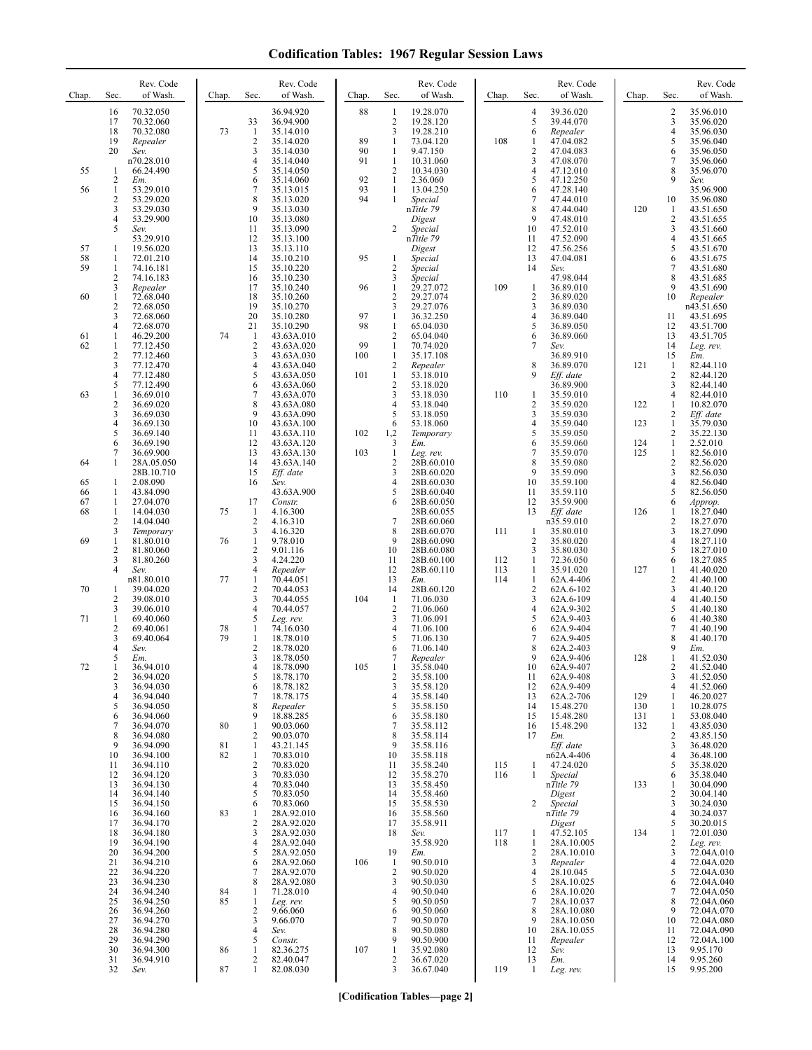| Chap.    | Sec.                           | Rev. Code<br>of Wash.                           | Chap.    | Sec.                 | Rev. Code<br>of Wash.                            | Chap.     | Sec.                                                | Rev. Code<br>of Wash.                            | Chap.      | Sec.                           | Rev. Code<br>of Wash.                           | Chap.      | Sec.             | Rev. Code<br>of Wash.                            |
|----------|--------------------------------|-------------------------------------------------|----------|----------------------|--------------------------------------------------|-----------|-----------------------------------------------------|--------------------------------------------------|------------|--------------------------------|-------------------------------------------------|------------|------------------|--------------------------------------------------|
|          | 16<br>17<br>18<br>19           | 70.32.050<br>70.32.060<br>70.32.080<br>Repealer | 73       | 33<br>-1<br>2        | 36.94.920<br>36.94.900<br>35.14.010<br>35.14.020 | 88<br>89  | $\mathbf{1}$<br>$\overline{2}$<br>3<br>$\mathbf{1}$ | 19.28.070<br>19.28.120<br>19.28.210<br>73.04.120 | 108        | 4<br>5<br>6<br>1               | 39.36.020<br>39.44.070<br>Repealer<br>47.04.082 |            | 2<br>3<br>4<br>5 | 35.96.010<br>35.96.020<br>35.96.030<br>35.96.040 |
|          | 20                             | Sev.                                            |          | 3<br>4               | 35.14.030<br>35.14.040                           | 90<br>91  | $\mathbf{1}$<br>1                                   | 9.47.150<br>10.31.060                            |            | 2<br>3                         | 47.04.083<br>47.08.070                          |            | 6<br>7           | 35.96.050<br>35.96.060                           |
| 55       | -1                             | n70.28.010<br>66.24.490                         |          | 5                    | 35.14.050                                        |           | $\overline{2}$                                      | 10.34.030                                        |            | 4                              | 47.12.010                                       |            | 8                | 35.96.070                                        |
| 56       | 2<br>$\mathbf{1}$              | Em.<br>53.29.010                                |          | 6                    | 35.14.060<br>35.13.015                           | 92<br>93  | -1<br>1                                             | 2.36.060<br>13.04.250                            |            | 5<br>6                         | 47.12.250<br>47.28.140                          |            | 9                | Sev.<br>35.96.900                                |
|          | 2<br>3                         | 53.29.020<br>53.29.030                          |          | 8<br>9               | 35.13.020<br>35.13.030                           | 94        | 1                                                   | Special<br>nTitle 79                             |            | 7<br>8                         | 47.44.010<br>47.44.040                          | 120        | 10<br>-1         | 35.96.080<br>43.51.650                           |
|          | 4<br>5                         | 53.29.900<br>Sev.                               |          | 10<br>11             | 35.13.080<br>35.13.090                           |           | 2                                                   | Digest<br>Special                                |            | 9<br>10                        | 47.48.010<br>47.52.010                          |            | 2<br>3           | 43.51.655<br>43.51.660                           |
| 57       | 1                              | 53.29.910<br>19.56.020                          |          | 12<br>13             | 35.13.100<br>35.13.110                           |           |                                                     | nTitle 79<br>Digest                              |            | 11<br>12                       | 47.52.090<br>47.56.256                          |            | 4<br>5           | 43.51.665<br>43.51.670                           |
| 58<br>59 | -1<br>$\mathbf{1}$             | 72.01.210<br>74.16.181                          |          | 14<br>15             | 35.10.210<br>35.10.220                           | 95        | 1<br>2                                              | Special<br>Special                               |            | 13<br>14                       | 47.04.081<br>Sev.                               |            | 6<br>7           | 43.51.675<br>43.51.680                           |
|          | 2<br>3                         | 74.16.183<br>Repealer                           |          | 16<br>17             | 35.10.230<br>35.10.240                           | 96        | 3<br>$\mathbf{1}$                                   | Special<br>29.27.072                             | 109        | $\mathbf{1}$                   | 47.98.044<br>36.89.010                          |            | 8<br>9           | 43.51.685<br>43.51.690                           |
| 60       | $\mathbf{1}$                   | 72.68.040                                       |          | 18                   | 35.10.260                                        |           | $\overline{2}$                                      | 29.27.074                                        |            | $\overline{2}$                 | 36.89.020                                       |            | 10               | Repealer                                         |
|          | $\overline{c}$<br>3            | 72.68.050<br>72.68.060                          |          | 19<br>20             | 35.10.270<br>35.10.280                           | 97        | 3<br>$\mathbf{1}$                                   | 29.27.076<br>36.32.250                           |            | 3<br>4                         | 36.89.030<br>36.89.040                          |            | 11               | n43.51.650<br>43.51.695                          |
| 61       | $\overline{4}$<br>1            | 72.68.070<br>46.29.200                          | 74       | 21<br>-1             | 35.10.290<br>43.63A.010                          | 98        | $\mathbf{1}$<br>$\overline{c}$                      | 65.04.030<br>65.04.040                           |            | 5<br>6                         | 36.89.050<br>36.89.060                          |            | 12<br>13         | 43.51.700<br>43.51.705                           |
| 62       | $\mathbf{1}$<br>2              | 77.12.450<br>77.12.460                          |          | $\overline{2}$<br>3  | 43.63A.020<br>43.63A.030                         | 99<br>100 | $\mathbf{1}$<br>$\mathbf{1}$                        | 70.74.020<br>35.17.108                           |            | 7                              | Sev.<br>36.89.910                               |            | 14<br>15         | Leg. rev.<br>Em.                                 |
|          | 3<br>4                         | 77.12.470<br>77.12.480                          |          | 4<br>5               | 43.63A.040<br>43.63A.050                         | 101       | $\overline{2}$<br>$\mathbf{1}$                      | Repealer<br>53.18.010                            |            | 8<br>9                         | 36.89.070<br>$Eff.$ date                        | 121        | -1<br>2          | 82.44.110<br>82.44.120                           |
| 63       | 5<br>$\mathbf{1}$              | 77.12.490<br>36.69.010                          |          | 6<br>7               | 43.63A.060<br>43.63A.070                         |           | $\overline{2}$<br>3                                 | 53.18.020<br>53.18.030                           | 110        | -1                             | 36.89.900<br>35.59.010                          |            | 3<br>4           | 82.44.140<br>82.44.010                           |
|          | $\overline{c}$<br>3            | 36.69.020<br>36.69.030                          |          | 8<br>9               | 43.63A.080<br>43.63A.090                         |           | $\overline{4}$<br>5                                 | 53.18.040<br>53.18.050                           |            | 2<br>3                         | 35.59.020<br>35.59.030                          | 122        | 1<br>2           | 10.82.070                                        |
|          | 4                              | 36.69.130                                       |          | 10                   | 43.63A.100                                       |           | 6                                                   | 53.18.060                                        |            | 4                              | 35.59.040                                       | 123        | $\mathbf{1}$     | Eff. date<br>35.79.030                           |
|          | 5<br>6                         | 36.69.140<br>36.69.190                          |          | 11<br>12             | 43.63A.110<br>43.63A.120                         | 102       | 1,2<br>3                                            | Temporary<br>Em.                                 |            | 5<br>6                         | 35.59.050<br>35.59.060                          | 124        | 2<br>1           | 35.22.130<br>2.52.010                            |
| 64       | 7<br>1                         | 36.69.900<br>28A.05.050                         |          | 13<br>14             | 43.63A.130<br>43.63A.140                         | 103       | $\mathbf{1}$<br>$\overline{c}$                      | Leg. rev.<br>28B.60.010                          |            | 7<br>8                         | 35.59.070<br>35.59.080                          | 125        | 1<br>2           | 82.56.010<br>82.56.020                           |
| 65       | -1                             | 28B.10.710<br>2.08.090                          |          | 15<br>16             | Eff. date<br>Sev.                                |           | 3<br>$\overline{4}$                                 | 28B.60.020<br>28B.60.030                         |            | 9<br>10                        | 35.59.090<br>35.59.100                          |            | 3<br>4           | 82.56.030<br>82.56.040                           |
| 66<br>67 | $\mathbf{1}$<br>$\mathbf{1}$   | 43.84.090<br>27.04.070                          |          | 17                   | 43.63A.900<br>Constr.                            |           | 5<br>6                                              | 28B.60.040<br>28B.60.050                         |            | 11<br>12                       | 35.59.110<br>35.59.900                          |            | 5<br>6           | 82.56.050<br>Approp.                             |
| 68       | $\mathbf{1}$<br>$\overline{2}$ | 14.04.030<br>14.04.040                          | 75       | -1<br>$\overline{2}$ | 4.16.300<br>4.16.310                             |           | $\overline{7}$                                      | 28B.60.055<br>28B.60.060                         |            | 13                             | Eff. date<br>n35.59.010                         | 126        | 1<br>2           | 18.27.040<br>18.27.070                           |
| 69       | 3<br>$\mathbf{1}$              | Temporary<br>81.80.010                          | 76       | 3<br>1               | 4.16.320<br>9.78.010                             |           | 8<br>9                                              | 28B.60.070<br>28B.60.090                         | 111        | $\mathbf{1}$<br>$\overline{2}$ | 35.80.010<br>35.80.020                          |            | 3<br>4           | 18.27.090<br>18.27.110                           |
|          | 2<br>3                         | 81.80.060                                       |          | 2<br>3               | 9.01.116                                         |           | 10                                                  | 28B.60.080                                       | 112        | 3                              | 35.80.030                                       |            | 5                | 18.27.010                                        |
|          | 4                              | 81.80.260<br>Sev.                               |          | 4                    | 4.24.220<br>Repealer                             |           | 11<br>12                                            | 28B.60.100<br>28B.60.110                         | 113        | -1<br>-1                       | 72.36.050<br>35.91.020                          | 127        | 6<br>1           | 18.27.085<br>41.40.020                           |
| 70       | 1                              | n81.80.010<br>39.04.020                         | 77       | 1<br>2               | 70.44.051<br>70.44.053                           |           | 13<br>14                                            | Em.<br>28B.60.120                                | 114        | -1<br>2                        | 62A.4-406<br>62A.6-102                          |            | 2<br>3           | 41.40.100<br>41.40.120                           |
|          | 2<br>3                         | 39.08.010<br>39.06.010                          |          | 3<br>4               | 70.44.055<br>70.44.057                           | 104       | $\mathbf{1}$<br>$\overline{2}$                      | 71.06.030<br>71.06.060                           |            | 3<br>4                         | 62A.6-109<br>62A.9-302                          |            | 4<br>5           | 41.40.150<br>41.40.180                           |
| 71       | $\mathbf{1}$<br>2              | 69.40.060<br>69.40.061                          | 78       | 5<br>1               | Leg. rev.<br>74.16.030                           |           | 3<br>$\overline{4}$                                 | 71.06.091<br>71.06.100                           |            | 5<br>6                         | 62A.9-403<br>62A.9-404                          |            | 6<br>7           | 41.40.380<br>41.40.190                           |
|          | 3<br>4                         | 69.40.064<br>Sev.                               | 79       | $\mathbf{1}$<br>2    | 18.78.010<br>18.78.020                           |           | 5<br>6                                              | 71.06.130<br>71.06.140                           |            | 7<br>8                         | 62A.9-405<br>62A.2-403                          |            | 8<br>9           | 41.40.170<br>Em.                                 |
| 72       | 5<br>1                         | Em.<br>36.94.010                                |          | 3<br>4               | 18.78.050<br>18.78.090                           | 105       | 7<br>1                                              | Repealer<br>35.58.040                            |            | 9<br>10                        | 62A.9-406<br>62A.9-407                          | 128        | 1<br>2           | 41.52.030<br>41.52.040                           |
|          | $\overline{\mathbf{c}}$<br>3   | 36.94.020<br>36.94.030                          |          | 5<br>6               | 18.78.170<br>18.78.182                           |           | 2<br>3                                              | 35.58.100<br>35.58.120                           |            | 11<br>12                       | 62A.9-408<br>62A.9-409                          |            | 3<br>4           | 41.52.050<br>41.52.060                           |
|          | 4<br>5                         | 36.94.040                                       |          | 7<br>8               | 18.78.175                                        |           | $\overline{4}$<br>5                                 | 35.58.140                                        |            | 13<br>14                       | 62A.2-706<br>15.48.270                          | 129<br>130 | 1<br>1           | 46.20.027<br>10.28.075                           |
|          | 6                              | 36.94.050<br>36.94.060                          |          | 9                    | Repealer<br>18.88.285                            |           | 6                                                   | 35.58.150<br>35.58.180                           |            | 15                             | 15.48.280                                       | 131        | 1                | 53.08.040                                        |
|          | 7<br>8                         | 36.94.070<br>36.94.080                          | 80       | 1<br>2               | 90.03.060<br>90.03.070                           |           | $\overline{7}$<br>8                                 | 35.58.112<br>35.58.114                           |            | 16<br>17                       | 15.48.290<br>Em.                                | 132        | 1<br>2           | 43.85.030<br>43.85.150                           |
|          | 9<br>10                        | 36.94.090<br>36.94.100                          | 81<br>82 | 1<br>$\mathbf{1}$    | 43.21.145<br>70.83.010                           |           | 9<br>10                                             | 35.58.116<br>35.58.118                           |            |                                | Eff. date<br>n62A.4-406                         |            | 3<br>4           | 36.48.020<br>36.48.100                           |
|          | 11<br>12                       | 36.94.110<br>36.94.120                          |          | $\overline{c}$<br>3  | 70.83.020<br>70.83.030                           |           | 11<br>12                                            | 35.58.240<br>35.58.270                           | 115<br>116 | $\mathbf{1}$<br>1              | 47.24.020<br>Special                            |            | 5<br>6           | 35.38.020<br>35.38.040                           |
|          | 13<br>14                       | 36.94.130<br>36.94.140                          |          | 4<br>5               | 70.83.040<br>70.83.050                           |           | 13<br>14                                            | 35.58.450<br>35.58.460                           |            |                                | nTitle 79<br>Digest                             | 133        | 1<br>2           | 30.04.090<br>30.04.140                           |
|          | 15<br>16                       | 36.94.150<br>36.94.160                          | 83       | 6<br>1               | 70.83.060<br>28A.92.010                          |           | 15<br>16                                            | 35.58.530<br>35.58.560                           |            | 2                              | Special<br>nTitle 79                            |            | 3<br>4           | 30.24.030<br>30.24.037                           |
|          | 17<br>18                       | 36.94.170<br>36.94.180                          |          | 2<br>3               | 28A.92.020<br>28A.92.030                         |           | 17<br>18                                            | 35.58.911<br>Sev.                                | 117        | 1                              | Digest<br>47.52.105                             | 134        | 5<br>1           | 30.20.015<br>72.01.030                           |
|          | 19                             | 36.94.190                                       |          | $\overline{4}$       | 28A.92.040                                       |           |                                                     | 35.58.920                                        | 118        | 1                              | 28A.10.005                                      |            | 2                | Leg. rev.                                        |
|          | 20<br>21                       | 36.94.200<br>36.94.210                          |          | 5<br>6               | 28A.92.050<br>28A.92.060                         | 106       | 19<br>$\mathbf{1}$                                  | Em.<br>90.50.010                                 |            | 2<br>3                         | 28A.10.010<br>Repealer                          |            | 3<br>4           | 72.04A.010<br>72.04A.020                         |
|          | 22<br>23                       | 36.94.220<br>36.94.230                          |          | 7<br>8               | 28A.92.070<br>28A.92.080                         |           | $\sqrt{2}$<br>$\mathfrak{Z}$                        | 90.50.020<br>90.50.030                           |            | 4<br>5                         | 28.10.045<br>28A.10.025                         |            | 5<br>6           | 72.04A.030<br>72.04A.040                         |
|          | 24<br>25                       | 36.94.240<br>36.94.250                          | 84<br>85 | 1<br>$\mathbf{1}$    | 71.28.010<br>Leg. rev.                           |           | $\overline{4}$<br>5                                 | 90.50.040<br>90.50.050                           |            | 6<br>7                         | 28A.10.020<br>28A.10.037                        |            | 7<br>8           | 72.04A.050<br>72.04A.060                         |
|          | 26<br>27                       | 36.94.260<br>36.94.270                          |          | 2<br>3               | 9.66.060<br>9.66.070                             |           | 6<br>7                                              | 90.50.060<br>90.50.070                           |            | 8<br>9                         | 28A.10.080<br>28A.10.050                        |            | 9<br>10          | 72.04A.070<br>72.04A.080                         |
|          | 28<br>29                       | 36.94.280<br>36.94.290                          |          | 4<br>5               | Sev.<br>Constr.                                  |           | 8<br>9                                              | 90.50.080<br>90.50.900                           |            | 10<br>11                       | 28A.10.055<br>Repealer                          |            | 11<br>12         | 72.04A.090<br>72.04A.100                         |
|          | 30<br>31                       | 36.94.300<br>36.94.910                          | 86       | 1<br>2               | 82.36.275<br>82.40.047                           | 107       | $\mathbf{1}$<br>$\overline{c}$                      | 35.92.080<br>36.67.020                           |            | 12<br>13                       | Sev.<br>Em.                                     |            | 13<br>14         | 9.95.170<br>9.95.260                             |
|          | 32                             | Sev.                                            | 87       | $\mathbf{1}$         | 82.08.030                                        |           | $\mathfrak{Z}$                                      | 36.67.040                                        | 119        | -1                             | Leg. rev.                                       |            | 15               | 9.95.200                                         |

**[Codification Tables—page 2]**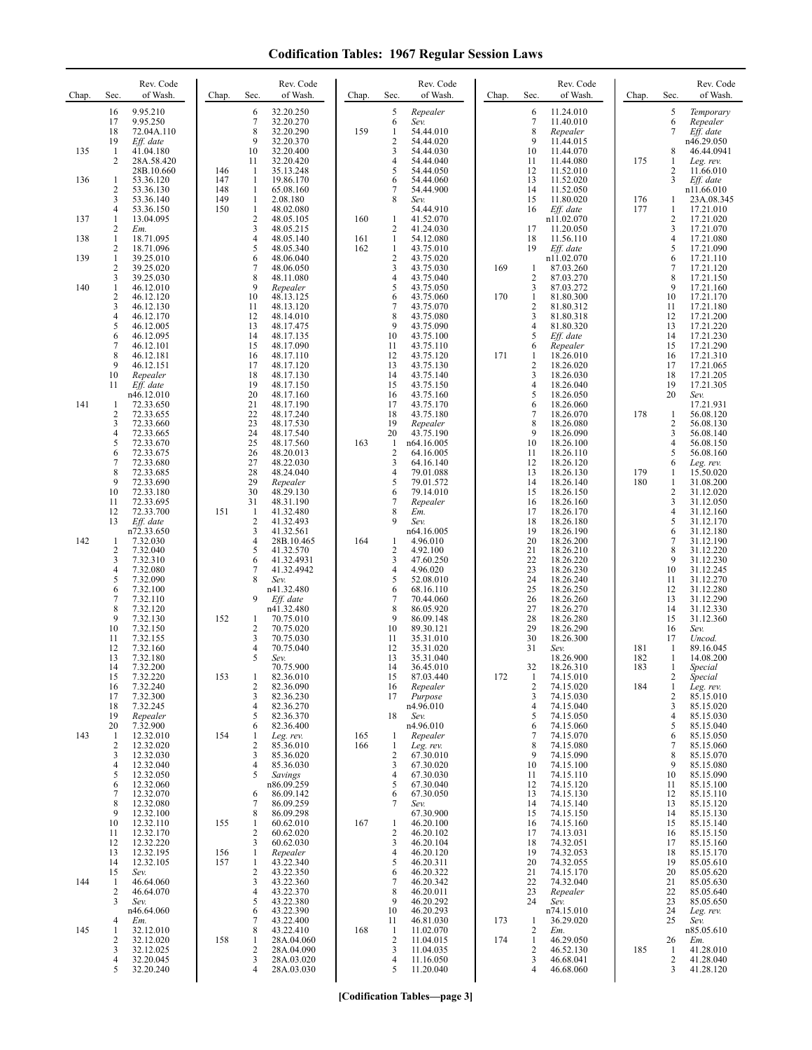| Chap. | Sec.                                             | Rev. Code<br>of Wash.                                                                                                         | Chap.             | Sec.                                                                                                          | Rev. Code<br>of Wash.                                                                                                          | Chap.      | Sec.                                                       | Rev. Code<br>of Wash.                                                                                                          | Chap.      | Sec.                                                                                           | Rev. Code<br>of Wash.                                                                                                         | Chap.      | Sec.                                                                         | Rev. Code<br>of Wash.                                                                                                          |
|-------|--------------------------------------------------|-------------------------------------------------------------------------------------------------------------------------------|-------------------|---------------------------------------------------------------------------------------------------------------|--------------------------------------------------------------------------------------------------------------------------------|------------|------------------------------------------------------------|--------------------------------------------------------------------------------------------------------------------------------|------------|------------------------------------------------------------------------------------------------|-------------------------------------------------------------------------------------------------------------------------------|------------|------------------------------------------------------------------------------|--------------------------------------------------------------------------------------------------------------------------------|
| 135   | 16<br>17<br>18<br>19<br>$\mathbf{1}$             | 9.95.210<br>9.95.250<br>72.04A.110<br>Eff. date<br>41.04.180                                                                  |                   | 6<br>7<br>8<br>9<br>10                                                                                        | 32.20.250<br>32.20.270<br>32.20.290<br>32.20.370<br>32.20.400                                                                  | 159        | 5<br>6<br>1<br>2<br>3                                      | Repealer<br>Sev.<br>54.44.010<br>54.44.020<br>54.44.030                                                                        |            | 6<br>$\overline{7}$<br>8<br>9<br>10                                                            | 11.24.010<br>11.40.010<br>Repealer<br>11.44.015<br>11.44.070                                                                  |            | 5<br>6<br>7<br>8                                                             | Temporary<br>Repealer<br>Eff. date<br>n46.29.050<br>46.44.0941                                                                 |
| 136   | 2<br>1<br>2                                      | 28A.58.420<br>28B.10.660<br>53.36.120<br>53.36.130                                                                            | 146<br>147<br>148 | 11<br>-1<br>-1<br>1                                                                                           | 32.20.420<br>35.13.248<br>19.86.170<br>65.08.160                                                                               |            | 4<br>5<br>6<br>7                                           | 54.44.040<br>54.44.050<br>54.44.060<br>54.44.900                                                                               |            | 11<br>12<br>13<br>14                                                                           | 11.44.080<br>11.52.010<br>11.52.020<br>11.52.050                                                                              | 175        | $\mathbf{1}$<br>2<br>3                                                       | Leg. rev.<br>11.66.010<br>Eff. date<br>n11.66.010                                                                              |
| 137   | 3<br>$\overline{4}$<br>1<br>2                    | 53.36.140<br>53.36.150<br>13.04.095                                                                                           | 149<br>150        | 1<br>$\mathbf{1}$<br>$\overline{c}$<br>3                                                                      | 2.08.180<br>48.02.080<br>48.05.105<br>48.05.215                                                                                | 160        | 8<br>1<br>2                                                | Sev.<br>54.44.910<br>41.52.070<br>41.24.030                                                                                    |            | 15<br>16<br>17                                                                                 | 11.80.020<br>Eff. date<br>n11.02.070<br>11.20.050                                                                             | 176<br>177 | 1<br>$\mathbf{1}$<br>$\overline{c}$<br>3                                     | 23A.08.345<br>17.21.010<br>17.21.020<br>17.21.070                                                                              |
| 138   | $\mathbf{1}$<br>2                                | Em.<br>18.71.095<br>18.71.096                                                                                                 |                   | 4<br>5                                                                                                        | 48.05.140<br>48.05.340                                                                                                         | 161<br>162 | $\mathbf{1}$<br>1                                          | 54.12.080<br>43.75.010                                                                                                         |            | 18<br>19                                                                                       | 11.56.110<br>Eff. date                                                                                                        |            | $\overline{4}$<br>5                                                          | 17.21.080<br>17.21.090                                                                                                         |
| 139   | 1<br>2                                           | 39.25.010<br>39.25.020                                                                                                        |                   | 6<br>7                                                                                                        | 48.06.040<br>48.06.050                                                                                                         |            | 2<br>3                                                     | 43.75.020<br>43.75.030                                                                                                         | 169        | $\mathbf{1}$                                                                                   | n11.02.070<br>87.03.260                                                                                                       |            | 6<br>$\tau$                                                                  | 17.21.110<br>17.21.120                                                                                                         |
| 140   | 3<br>$\mathbf{1}$                                | 39.25.030<br>46.12.010                                                                                                        |                   | 8<br>9                                                                                                        | 48.11.080<br>Repealer                                                                                                          |            | 4<br>5                                                     | 43.75.040<br>43.75.050                                                                                                         |            | $\overline{2}$<br>3                                                                            | 87.03.270<br>87.03.272                                                                                                        |            | 8<br>9                                                                       | 17.21.150<br>17.21.160                                                                                                         |
|       | 2<br>3<br>4<br>5<br>6<br>7<br>8<br>9<br>10<br>11 | 46.12.120<br>46.12.130<br>46.12.170<br>46.12.005<br>46.12.095<br>46.12.101<br>46.12.181<br>46.12.151<br>Repealer<br>Eff. date |                   | 10<br>11<br>12<br>13<br>14<br>15<br>16<br>17<br>18<br>19                                                      | 48.13.125<br>48.13.120<br>48.14.010<br>48.17.475<br>48.17.135<br>48.17.090<br>48.17.110<br>48.17.120<br>48.17.130<br>48.17.150 |            | 6<br>7<br>8<br>9<br>10<br>11<br>12<br>13<br>14<br>15       | 43.75.060<br>43.75.070<br>43.75.080<br>43.75.090<br>43.75.100<br>43.75.110<br>43.75.120<br>43.75.130<br>43.75.140<br>43.75.150 | 170<br>171 | $\mathbf{1}$<br>$\overline{2}$<br>3<br>4<br>5<br>6<br>$\mathbf{1}$<br>$\overline{2}$<br>3<br>4 | 81.80.300<br>81.80.312<br>81.80.318<br>81.80.320<br>Eff. date<br>Repealer<br>18.26.010<br>18.26.020<br>18.26.030<br>18.26.040 |            | 10<br>11<br>12<br>13<br>14<br>15<br>16<br>17<br>18<br>19                     | 17.21.170<br>17.21.180<br>17.21.200<br>17.21.220<br>17.21.230<br>17.21.290<br>17.21.310<br>17.21.065<br>17.21.205<br>17.21.305 |
| 141   | -1<br>2<br>3<br>4<br>5<br>6                      | n46.12.010<br>72.33.650<br>72.33.655<br>72.33.660<br>72.33.665<br>72.33.670<br>72.33.675                                      |                   | 20<br>21<br>22<br>23<br>24<br>25<br>26                                                                        | 48.17.160<br>48.17.190<br>48.17.240<br>48.17.530<br>48.17.540<br>48.17.560<br>48.20.013                                        | 163        | 16<br>17<br>18<br>19<br>20<br>1<br>2                       | 43.75.160<br>43.75.170<br>43.75.180<br>Repealer<br>43.75.190<br>n64.16.005<br>64.16.005                                        |            | 5<br>6<br>7<br>8<br>9<br>10<br>11                                                              | 18.26.050<br>18.26.060<br>18.26.070<br>18.26.080<br>18.26.090<br>18.26.100<br>18.26.110                                       | 178        | 20<br>$\mathbf{1}$<br>$\sqrt{2}$<br>3<br>$\overline{4}$<br>5                 | Sev.<br>17.21.931<br>56.08.120<br>56.08.130<br>56.08.140<br>56.08.150<br>56.08.160                                             |
|       | 7<br>8<br>9<br>10<br>11<br>12<br>13              | 72.33.680<br>72.33.685<br>72.33.690<br>72.33.180<br>72.33.695<br>72.33.700<br>Eff. date                                       | 151               | 27<br>28<br>29<br>30<br>31<br>-1<br>$\overline{2}$                                                            | 48.22.030<br>48.24.040<br>Repealer<br>48.29.130<br>48.31.190<br>41.32.480<br>41.32.493                                         |            | 3<br>4<br>5<br>6<br>7<br>8<br>9                            | 64.16.140<br>79.01.088<br>79.01.572<br>79.14.010<br>Repealer<br>Em.<br>Sev.                                                    |            | 12<br>13<br>14<br>15<br>16<br>17<br>18                                                         | 18.26.120<br>18.26.130<br>18.26.140<br>18.26.150<br>18.26.160<br>18.26.170<br>18.26.180                                       | 179<br>180 | 6<br>1<br>$\mathbf{1}$<br>$\sqrt{2}$<br>3<br>$\overline{4}$<br>5             | Leg. rev.<br>15.50.020<br>31.08.200<br>31.12.020<br>31.12.050<br>31.12.160<br>31.12.170                                        |
| 142   | -1<br>2<br>3<br>4<br>5<br>6                      | n72.33.650<br>7.32.030<br>7.32.040<br>7.32.310<br>7.32.080<br>7.32.090<br>7.32.100                                            |                   | $\mathbf{3}$<br>4<br>5<br>6<br>$\overline{7}$<br>8                                                            | 41.32.561<br>28B.10.465<br>41.32.570<br>41.32.4931<br>41.32.4942<br>Sev.<br>n41.32.480                                         | 164        | 1<br>$\overline{c}$<br>3<br>4<br>5<br>6                    | n64.16.005<br>4.96.010<br>4.92.100<br>47.60.250<br>4.96.020<br>52.08.010<br>68.16.110                                          |            | 19<br>20<br>21<br>22<br>23<br>24<br>25                                                         | 18.26.190<br>18.26.200<br>18.26.210<br>18.26.220<br>18.26.230<br>18.26.240<br>18.26.250                                       |            | 6<br>$\tau$<br>8<br>9<br>10<br>11<br>12                                      | 31.12.180<br>31.12.190<br>31.12.220<br>31.12.230<br>31.12.245<br>31.12.270<br>31.12.280                                        |
|       | 7<br>8<br>9<br>10<br>11<br>12<br>13              | 7.32.110<br>7.32.120<br>7.32.130<br>7.32.150<br>7.32.155<br>7.32.160<br>7.32.180                                              | 152               | 9<br>2<br>3<br>4<br>5                                                                                         | Eff. date<br>n41.32.480<br>70.75.010<br>70.75.020<br>70.75.030<br>70.75.040<br>Sev.                                            |            | 7<br>8<br>9<br>10<br>11<br>12<br>13                        | 70.44.060<br>86.05.920<br>86.09.148<br>89.30.121<br>35.31.010<br>35.31.020<br>35.31.040                                        |            | 26<br>27<br>28<br>29<br>30<br>31                                                               | 18.26.260<br>18.26.270<br>18.26.280<br>18.26.290<br>18.26.300<br>Sev.<br>18.26.900                                            | 181<br>182 | 13<br>14<br>15<br>16<br>17<br>1<br>1                                         | 31.12.290<br>31.12.330<br>31.12.360<br>Sev.<br>Uncod.<br>89.16.045<br>14.08.200                                                |
|       | 14<br>15<br>16<br>17<br>18<br>19                 | 7.32.200<br>7.32.220<br>7.32.240<br>7.32.300<br>7.32.245<br>Repealer                                                          | 153               | 1<br>$\overline{2}$<br>3<br>$\overline{4}$<br>5                                                               | 70.75.900<br>82.36.010<br>82.36.090<br>82.36.230<br>82.36.270<br>82.36.370                                                     |            | 14<br>15<br>16<br>17<br>18                                 | 36.45.010<br>87.03.440<br>Repealer<br>Purpose<br>n4.96.010<br>Sev.                                                             | 172        | 32<br>$\mathbf{1}$<br>$\overline{2}$<br>3<br>4<br>5                                            | 18.26.310<br>74.15.010<br>74.15.020<br>74.15.030<br>74.15.040<br>74.15.050                                                    | 183<br>184 | 1<br>$\overline{c}$<br>$\mathbf{1}$<br>$\overline{c}$<br>3<br>$\overline{4}$ | Special<br>Special<br>Leg. rev.<br>85.15.010<br>85.15.020<br>85.15.030                                                         |
| 143   | 20<br>-1<br>2<br>3<br>4<br>5<br>6<br>7<br>8      | 7.32.900<br>12.32.010<br>12.32.020<br>12.32.030<br>12.32.040<br>12.32.050<br>12.32.060<br>12.32.070<br>12.32.080              | 154               | 6<br>1<br>$\overline{c}$<br>3<br>$\overline{4}$<br>5<br>6<br>7                                                | 82.36.400<br>Leg. rev.<br>85.36.010<br>85.36.020<br>85.36.030<br>Savings<br>n86.09.259<br>86.09.142<br>86.09.259               | 165<br>166 | 1<br>1<br>2<br>3<br>4<br>5<br>6<br>7                       | n4.96.010<br>Repealer<br>Leg. rev.<br>67.30.010<br>67.30.020<br>67.30.030<br>67.30.040<br>67.30.050<br>Sev.                    |            | 6<br>7<br>8<br>9<br>10<br>11<br>12<br>13<br>14                                                 | 74.15.060<br>74.15.070<br>74.15.080<br>74.15.090<br>74.15.100<br>74.15.110<br>74.15.120<br>74.15.130<br>74.15.140             |            | 5<br>6<br>$\tau$<br>$\,$ 8 $\,$<br>9<br>10<br>11<br>12<br>13                 | 85.15.040<br>85.15.050<br>85.15.060<br>85.15.070<br>85.15.080<br>85.15.090<br>85.15.100<br>85.15.110<br>85.15.120              |
| 144   | 9<br>10<br>11<br>12<br>13<br>14<br>15<br>-1<br>2 | 12.32.100<br>12.32.110<br>12.32.170<br>12.32.220<br>12.32.195<br>12.32.105<br>Sev.<br>46.64.060<br>46.64.070                  | 155<br>156<br>157 | 8<br>$\mathbf{1}$<br>$\sqrt{2}$<br>3<br>$\mathbf{1}$<br>$\mathbf{1}$<br>$\overline{c}$<br>3<br>$\overline{4}$ | 86.09.298<br>60.62.010<br>60.62.020<br>60.62.030<br>Repealer<br>43.22.340<br>43.22.350<br>43.22.360<br>43.22.370               | 167        | $\mathbf{1}$<br>2<br>3<br>4<br>5<br>6<br>7<br>8            | 67.30.900<br>46.20.100<br>46.20.102<br>46.20.104<br>46.20.120<br>46.20.311<br>46.20.322<br>46.20.342<br>46.20.011              |            | 15<br>16<br>17<br>18<br>19<br>20<br>21<br>22<br>23                                             | 74.15.150<br>74.15.160<br>74.13.031<br>74.32.051<br>74.32.053<br>74.32.055<br>74.15.170<br>74.32.040<br>Repealer              |            | 14<br>15<br>16<br>17<br>18<br>19<br>20<br>21<br>22                           | 85.15.130<br>85.15.140<br>85.15.150<br>85.15.160<br>85.15.170<br>85.05.610<br>85.05.620<br>85.05.630<br>85.05.640              |
| 145   | 3<br>4<br>1<br>2<br>3<br>4<br>5                  | Sev.<br>n46.64.060<br>Em.<br>32.12.010<br>32.12.020<br>32.12.025<br>32.20.045<br>32.20.240                                    | 158               | 5<br>6<br>7<br>8<br>1<br>$\sqrt{2}$<br>3<br>$\overline{4}$                                                    | 43.22.380<br>43.22.390<br>43.22.400<br>43.22.410<br>28A.04.060<br>28A.04.090<br>28A.03.020<br>28A.03.030                       | 168        | 9<br>10<br>11<br>$\mathbf{1}$<br>$\sqrt{2}$<br>3<br>4<br>5 | 46.20.292<br>46.20.293<br>46.81.030<br>11.02.070<br>11.04.015<br>11.04.035<br>11.16.050<br>11.20.040                           | 173<br>174 | 24<br>$\mathbf{1}$<br>2<br>$\mathbf{1}$<br>$\overline{c}$<br>3<br>4                            | Sev.<br>n74.15.010<br>36.29.020<br>Em.<br>46.29.050<br>46.52.130<br>46.68.041<br>46.68.060                                    | 185        | 23<br>24<br>25<br>26<br>1<br>$\overline{c}$<br>3                             | 85.05.650<br>Leg. rev.<br>Sev.<br>n85.05.610<br>Em.<br>41.28.010<br>41.28.040<br>41.28.120                                     |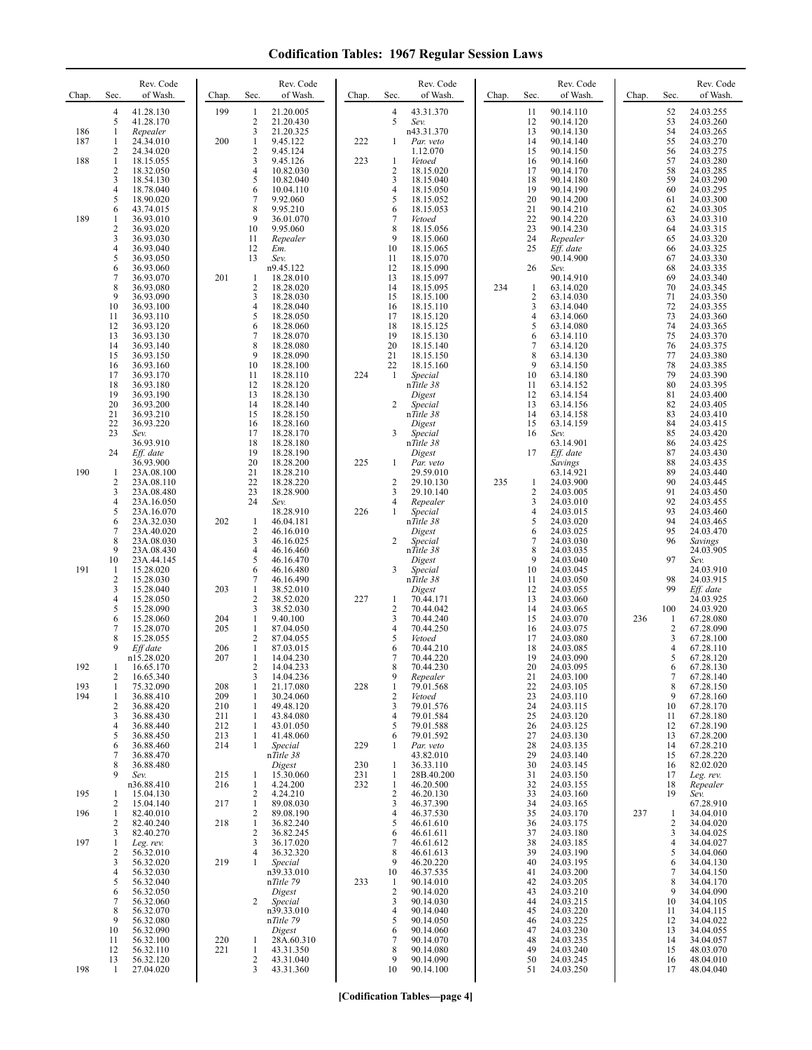| Chap.      | Sec.                           | Rev. Code<br>of Wash.    | Chap.      | Sec.                         | Rev. Code<br>of Wash.   | Chap.      | Sec.                           | Rev. Code<br>of Wash.         | Chap. | Sec.                         | Rev. Code<br>of Wash.  | Chap. | Sec.                | Rev. Code<br>of Wash.  |
|------------|--------------------------------|--------------------------|------------|------------------------------|-------------------------|------------|--------------------------------|-------------------------------|-------|------------------------------|------------------------|-------|---------------------|------------------------|
|            | $\overline{4}$<br>5            | 41.28.130<br>41.28.170   | 199        | -1<br>$\overline{c}$         | 21.20.005<br>21.20.430  |            | $\overline{4}$<br>5            | 43.31.370<br>Sev.             |       | 11<br>12                     | 90.14.110<br>90.14.120 |       | 52<br>53            | 24.03.255<br>24.03.260 |
| 186<br>187 | 1<br>1                         | Repealer<br>24.34.010    | 200        | 3<br>1                       | 21.20.325<br>9.45.122   | 222        | 1                              | n43.31.370<br>Par. veto       |       | 13<br>14                     | 90.14.130<br>90.14.140 |       | 54<br>55            | 24.03.265<br>24.03.270 |
| 188        | $\overline{2}$<br>$\mathbf{1}$ | 24.34.020<br>18.15.055   |            | $\overline{c}$<br>3          | 9.45.124<br>9.45.126    | 223        | 1                              | 1.12.070<br>Vetoed            |       | 15<br>16                     | 90.14.150<br>90.14.160 |       | 56<br>57            | 24.03.275<br>24.03.280 |
|            | 2                              | 18.32.050                |            | $\overline{4}$               | 10.82.030               |            | $\overline{c}$                 | 18.15.020                     |       | 17                           | 90.14.170              |       | 58                  | 24.03.285              |
|            | 3<br>4                         | 18.54.130<br>18.78.040   |            | 5<br>6                       | 10.82.040<br>10.04.110  |            | 3<br>$\overline{4}$            | 18.15.040<br>18.15.050        |       | 18<br>19                     | 90.14.180<br>90.14.190 |       | 59<br>60            | 24.03.290<br>24.03.295 |
|            | 5<br>6                         | 18.90.020<br>43.74.015   |            | 7<br>8                       | 9.92.060<br>9.95.210    |            | 5<br>6                         | 18.15.052<br>18.15.053        |       | 20<br>21                     | 90.14.200<br>90.14.210 |       | 61<br>62            | 24.03.300<br>24.03.305 |
| 189        | 1<br>$\overline{c}$            | 36.93.010<br>36.93.020   |            | 9<br>10                      | 36.01.070<br>9.95.060   |            | 7<br>8                         | Vetoed<br>18.15.056           |       | 22<br>23                     | 90.14.220<br>90.14.230 |       | 63<br>64            | 24.03.310<br>24.03.315 |
|            | 3<br>4                         | 36.93.030<br>36.93.040   |            | 11<br>12                     | Repealer<br>Em.         |            | 9<br>10                        | 18.15.060<br>18.15.065        |       | 24<br>25                     | Repealer<br>Eff. date  |       | 65<br>66            | 24.03.320<br>24.03.325 |
|            | 5<br>6                         | 36.93.050<br>36.93.060   |            | 13                           | Sev.<br>n9.45.122       |            | 11<br>12                       | 18.15.070<br>18.15.090        |       | 26                           | 90.14.900<br>Sev.      |       | 67<br>68            | 24.03.330<br>24.03.335 |
|            | 7<br>8                         | 36.93.070<br>36.93.080   | 201        | 1<br>$\overline{\mathbf{c}}$ | 18.28.010<br>18.28.020  |            | 13<br>14                       | 18.15.097<br>18.15.095        | 234   | 1                            | 90.14.910<br>63.14.020 |       | 69<br>70            | 24.03.340<br>24.03.345 |
|            | 9<br>10                        | 36.93.090<br>36.93.100   |            | 3<br>4                       | 18.28.030<br>18.28.040  |            | 15<br>16                       | 18.15.100<br>18.15.110        |       | $\sqrt{2}$<br>3              | 63.14.030<br>63.14.040 |       | 71<br>72            | 24.03.350<br>24.03.355 |
|            | 11<br>12                       | 36.93.110<br>36.93.120   |            | 5<br>6                       | 18.28.050<br>18.28.060  |            | 17<br>18                       | 18.15.120<br>18.15.125        |       | 4<br>5                       | 63.14.060<br>63.14.080 |       | 73<br>74            | 24.03.360<br>24.03.365 |
|            | 13<br>14                       | 36.93.130<br>36.93.140   |            | 7<br>8                       | 18.28.070<br>18.28.080  |            | 19<br>20                       | 18.15.130<br>18.15.140        |       | 6<br>$\tau$                  | 63.14.110<br>63.14.120 |       | 75<br>76            | 24.03.370<br>24.03.375 |
|            | 15                             | 36.93.150                |            | 9<br>10                      | 18.28.090<br>18.28.100  |            | 21<br>22                       | 18.15.150<br>18.15.160        |       | 8<br>9                       | 63.14.130              |       | 77<br>78            | 24.03.380              |
|            | 16<br>17                       | 36.93.160<br>36.93.170   |            | 11                           | 18.28.110               | 224        | $\mathbf{1}$                   | Special                       |       | 10                           | 63.14.150<br>63.14.180 |       | 79<br>80            | 24.03.385<br>24.03.390 |
|            | 18<br>19                       | 36.93.180<br>36.93.190   |            | 12<br>13                     | 18.28.120<br>18.28.130  |            |                                | nTitle 38<br>Digest           |       | 11<br>12                     | 63.14.152<br>63.14.154 |       | 81                  | 24.03.395<br>24.03.400 |
|            | 20<br>21                       | 36.93.200<br>36.93.210   |            | 14<br>15                     | 18.28.140<br>18.28.150  |            | 2                              | Special<br>$n\hat{T}$ itle 38 |       | 13<br>14                     | 63.14.156<br>63.14.158 |       | 82<br>83            | 24.03.405<br>24.03.410 |
|            | 22<br>23                       | 36.93.220<br>Sev.        |            | 16<br>17                     | 18.28.160<br>18.28.170  |            | 3                              | Digest<br>Special             |       | 15<br>16                     | 63.14.159<br>Sev.      |       | 84<br>85            | 24.03.415<br>24.03.420 |
|            | 24                             | 36.93.910<br>Eff. date   |            | 18<br>19                     | 18.28.180<br>18.28.190  |            |                                | nTitle 38<br>Digest           |       | 17                           | 63.14.901<br>Eff. date |       | 86<br>87            | 24.03.425<br>24.03.430 |
| 190        | -1                             | 36.93.900<br>23A.08.100  |            | 20<br>21                     | 18.28.200<br>18.28.210  | 225        | 1                              | Par. veto<br>29.59.010        |       |                              | Savings<br>63.14.921   |       | 88<br>89            | 24.03.435<br>24.03.440 |
|            | 2<br>3                         | 23A.08.110<br>23A.08.480 |            | 22<br>23                     | 18.28.220<br>18.28.900  |            | $\overline{2}$<br>3            | 29.10.130<br>29.10.140        | 235   | 1<br>$\overline{\mathbf{c}}$ | 24.03.900<br>24.03.005 |       | 90<br>91            | 24.03.445<br>24.03.450 |
|            | 4<br>5                         | 23A.16.050<br>23A.16.070 |            | 24                           | Sev.<br>18.28.910       | 226        | 4<br>1                         | Repealer<br>Special           |       | 3<br>4                       | 24.03.010<br>24.03.015 |       | 92<br>93            | 24.03.455<br>24.03.460 |
|            | 6<br>7                         | 23A.32.030<br>23A.40.020 | 202        | -1<br>2                      | 46.04.181<br>46.16.010  |            |                                | nTitle 38<br>Digest           |       | 5<br>6                       | 24.03.020<br>24.03.025 |       | 94<br>95            | 24.03.465<br>24.03.470 |
|            | 8<br>9                         | 23A.08.030<br>23A.08.430 |            | 3<br>4                       | 46.16.025<br>46.16.460  |            | 2                              | Special<br>nTitle 38          |       | $\overline{7}$<br>8          | 24.03.030<br>24.03.035 |       | 96                  | Savings<br>24.03.905   |
| 191        | 10<br>-1                       | 23A.44.145<br>15.28.020  |            | 5<br>6                       | 46.16.470<br>46.16.480  |            | 3                              | Digest<br>Special             |       | 9<br>10                      | 24.03.040<br>24.03.045 |       | 97                  | Sev.<br>24.03.910      |
|            | $\overline{c}$<br>3            | 15.28.030<br>15.28.040   | 203        | 7<br>1                       | 46.16.490<br>38.52.010  |            |                                | nTitle 38<br>Digest           |       | 11<br>12                     | 24.03.050<br>24.03.055 |       | 98<br>99            | 24.03.915<br>Eff. date |
|            | 4<br>5                         | 15.28.050<br>15.28.090   |            | $\mathbf{2}$<br>3            | 38.52.020<br>38.52.030  | 227        | 1<br>$\overline{2}$            | 70.44.171<br>70.44.042        |       | 13<br>14                     | 24.03.060<br>24.03.065 |       | 100                 | 24.03.925<br>24.03.920 |
|            | 6<br>7                         | 15.28.060<br>15.28.070   | 204<br>205 | 1<br>1                       | 9.40.100<br>87.04.050   |            | 3<br>$\overline{4}$            | 70.44.240<br>70.44.250        |       | 15<br>16                     | 24.03.070<br>24.03.075 | 236   | 1<br>2              | 67.28.080<br>67.28.090 |
|            | 8<br>9                         | 15.28.055                | 206        | 2<br>$\mathbf{1}$            | 87.04.055               |            | 5                              | Vetoed                        |       | 17<br>18                     | 24.03.080              |       | 3<br>4              | 67.28.100              |
|            |                                | Eff date<br>n15.28.020   | 207        | 1                            | 87.03.015<br>14.04.230  |            | 6<br>7                         | 70.44.210<br>70.44.220        |       | 19                           | 24.03.085<br>24.03.090 |       | 5                   | 67.28.110<br>67.28.120 |
| 192        | 1<br>2                         | 16.65.170<br>16.65.340   |            | 2<br>3                       | 14.04.233<br>14.04.236  |            | 8<br>9                         | 70.44.230<br>Repealer         |       | 20<br>21                     | 24.03.095<br>24.03.100 |       | $\theta$<br>$\tau$  | 67.28.130<br>67.28.140 |
| 193<br>194 | $\mathbf{1}$<br>$\mathbf{1}$   | 75.32.090<br>36.88.410   | 208<br>209 | 1<br>1                       | 21.17.080<br>30.24.060  | 228        | $\mathbf{1}$<br>$\sqrt{2}$     | 79.01.568<br>Vetoed           |       | 22<br>23                     | 24.03.105<br>24.03.110 |       | 8<br>9              | 67.28.150<br>67.28.160 |
|            | $\overline{2}$<br>3            | 36.88.420<br>36.88.430   | 210<br>211 | 1<br>1                       | 49.48.120<br>43.84.080  |            | 3<br>$\overline{4}$            | 79.01.576<br>79.01.584        |       | 24<br>25                     | 24.03.115<br>24.03.120 |       | 10<br>11            | 67.28.170<br>67.28.180 |
|            | 4<br>5                         | 36.88.440<br>36.88.450   | 212<br>213 | 1<br>1                       | 43.01.050<br>41.48.060  |            | 5<br>6                         | 79.01.588<br>79.01.592        |       | 26<br>27                     | 24.03.125<br>24.03.130 |       | 12<br>13            | 67.28.190<br>67.28.200 |
|            | 6<br>7                         | 36.88.460<br>36.88.470   | 214        | 1                            | Special<br>nTitle 38    | 229        | 1                              | Par. veto<br>43.82.010        |       | 28<br>29                     | 24.03.135<br>24.03.140 |       | 14<br>15            | 67.28.210<br>67.28.220 |
|            | 8<br>9                         | 36.88.480<br>Sev.        | 215        | 1                            | Digest<br>15.30.060     | 230<br>231 | -1<br>-1                       | 36.33.110<br>28B.40.200       |       | 30<br>31                     | 24.03.145<br>24.03.150 |       | 16<br>17            | 82.02.020<br>Leg. rev. |
| 195        | -1                             | n36.88.410<br>15.04.130  | 216        | $\mathbf{1}$<br>2            | 4.24.200<br>4.24.210    | 232        | $\mathbf{1}$<br>$\overline{2}$ | 46.20.500<br>46.20.130        |       | 32<br>33                     | 24.03.155<br>24.03.160 |       | 18<br>19            | Repealer<br>Sev.       |
| 196        | 2<br>1                         | 15.04.140<br>82.40.010   | 217        | $\mathbf{1}$<br>2            | 89.08.030<br>89.08.190  |            | 3<br>$\overline{4}$            | 46.37.390<br>46.37.530        |       | 34<br>35                     | 24.03.165<br>24.03.170 | 237   | 1                   | 67.28.910<br>34.04.010 |
|            | 2<br>3                         | 82.40.240<br>82.40.270   | 218        | $\mathbf{1}$<br>2            | 36.82.240<br>36.82.245  |            | 5<br>6                         | 46.61.610<br>46.61.611        |       | 36<br>37                     | 24.03.175<br>24.03.180 |       | 2<br>3              | 34.04.020<br>34.04.025 |
| 197        | 1<br>2                         | Leg. rev.<br>56.32.010   |            | 3<br>4                       | 36.17.020<br>36.32.320  |            | 7<br>8                         | 46.61.612<br>46.61.613        |       | 38<br>39                     | 24.03.185<br>24.03.190 |       | $\overline{4}$<br>5 | 34.04.027<br>34.04.060 |
|            | 3<br>4                         | 56.32.020<br>56.32.030   | 219        | $\mathbf{1}$                 | Special<br>n39.33.010   |            | 9<br>10                        | 46.20.220<br>46.37.535        |       | 40<br>41                     | 24.03.195<br>24.03.200 |       | 6<br>7              | 34.04.130<br>34.04.150 |
|            | 5<br>6                         | 56.32.040<br>56.32.050   |            |                              | nTitle 79<br>Digest     | 233        | $\mathbf{1}$<br>$\sqrt{2}$     | 90.14.010<br>90.14.020        |       | 42<br>43                     | 24.03.205<br>24.03.210 |       | 8<br>9              | 34.04.170<br>34.04.090 |
|            | 7<br>8                         | 56.32.060<br>56.32.070   |            | 2                            | Special<br>n39.33.010   |            | 3<br>4                         | 90.14.030<br>90.14.040        |       | 44<br>45                     | 24.03.215<br>24.03.220 |       | 10<br>11            | 34.04.105<br>34.04.115 |
|            | 9<br>10                        | 56.32.080<br>56.32.090   |            |                              | nTitle 79<br>Digest     |            | 5<br>6                         | 90.14.050<br>90.14.060        |       | 46<br>47                     | 24.03.225<br>24.03.230 |       | 12<br>13            | 34.04.022<br>34.04.055 |
|            | 11<br>12                       | 56.32.100<br>56.32.110   | 220<br>221 | $\mathbf{1}$<br>$\mathbf{1}$ | 28A.60.310<br>43.31.350 |            | 7<br>8                         | 90.14.070<br>90.14.080        |       | 48<br>49                     | 24.03.235<br>24.03.240 |       | 14<br>15            | 34.04.057<br>48.03.070 |
| 198        | 13<br>-1                       | 56.32.120<br>27.04.020   |            | 2<br>3                       | 43.31.040<br>43.31.360  |            | 9<br>10                        | 90.14.090<br>90.14.100        |       | 50<br>51                     | 24.03.245<br>24.03.250 |       | 16<br>17            | 48.04.010<br>48.04.040 |
|            |                                |                          |            |                              |                         |            |                                |                               |       |                              |                        |       |                     |                        |

**[Codification Tables—page 4]**